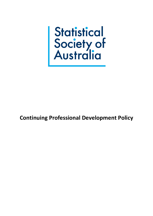

**Continuing Professional Development Policy**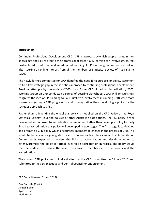#### **Introduction**

Continuing Professional Development (CPD): CPD is a process by which people maintain their knowledge and skill related to their professional career. CPD learning can involve structured, unstructured or informal and self-directed learning. A CPD working committee was set up after seeking an online interest from all the members of Statistical Society of Australia Inc (SSA).

The newly formed committee for CPD identified the need for a purpose, or policy, statement to fill a key strategic gap in the societies approach to continuing professional development. Previous attempts by the society (2000: Nick Fisher CPD Linked to Accreditation; 2002: Working Group on CPD conducted a survey of possible workshops; 2009: William Dunsmuir re-ignites the idea of CPD leading to Paul Sutcliffe's involvement in running CPD) were more focused on getting a CPD program up and running rather than developing a policy for the societies approach to CPD.

Rather than re-inventing the wheel this policy is modelled on the CPD Policy of the Royal Statistical Society (RSS) and policies of other Australian associations. The RSS policy is well developed and is linked to accreditation of members. Rather than develop a policy formally linked to accreditation this policy will developed in two stages. The first stage is to develop and promote a CPD policy which encourages members to engage in the process of CPD. This would be beneficial for young statisticians who are early in their career. The Accreditation Committee is expected to review the links to accreditation and decide whether to extend/promote the policy to formal level for re-accreditation purposes. The policy would then be updated to include the links to renewal of membership to the society and the accreditation.

The current CPD policy was initially drafted by the CPD committee on 31 July 2013 and submitted to the SSA Executive and Central Council for endorsement.

CPD Committee (on 31 July 2013)

Paul Sutcliffe (Chair) Jannah Baker Ryan Defina Mark Griffin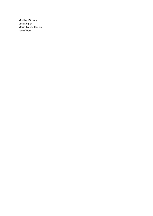Murthy Mittinty Dina Neiger Marie-Louise Rankin Kevin Wang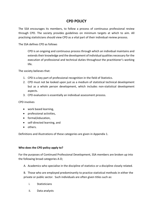# **CPD POLICY**

The SSA encourages its members, to follow a process of continuous professional review through CPD. The society provides guidelines on minimum targets at which to aim. All practising statisticians should view CPD as a vital part of their individual review process.

The SSA defines CPD as follows

CPD is an ongoing and continuous process through which an individual maintains and extends their knowledge and the development of individual qualities necessary for the execution of professional and technical duties throughout the practitioner's working life.

The society believes that:

- 1. CPD is a key part of professional recognition in the field of Statistics.
- 2. CPD must not be looked upon just as a medium of statistical technical development but as a whole person development, which includes non-statistical development aspects.
- 3. CPD evaluation is essentially an individual assessment process.

#### CPD involves

- work based learning,
- professional activities,
- formal/education,
- self-directed learning, and
- others.

Definitions and illustrations of these categories are given in Appendix 1.

#### **Who does the CPD policy apply to?**

For the purposes of Continued Professional Development, SSA members are broken up into the following broad categories A-D;

A. Academics who specialise in the discipline of statistics or a discipline closely related.

B. Those who are employed predominantly to practice statistical methods in either the private or public sector. Such individuals are often given titles such as:

- i. Statisticians
- ii. Data analysts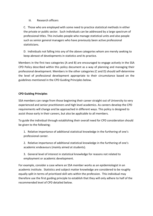# iii. Research officers

C. Those who are employed with some need to practice statistical methods in either the private or public sector. Such individuals can be addressed by a large spectrum of professional titles. This includes people who manage statistical units and also people such as senior general managers who have previously been active professional statisticians.

D. Individuals not falling into any of the above categories whom are merely seeking to keep abreast of developments in statistics and its practice.

Members in the first two categories (A and B) are encouraged to engage actively in the SSA CPD Policy described within this policy document as a way of planning and managing their professional development. Members in the other categories (C and D) should self-determine the level of professional development appropriate to their circumstance based on the guidelines mentioned in the CPD Guiding Principles below.

# **CPD Guiding Principles**

SSA members can range from those beginning their career straight out of University to very experienced and senior practitioners and high level academics. As careers develop the CPD requirements will change and be approached in different ways. This policy is designed to assist those early in their careers, but also be applicable to all members.

To guide the individual through establishing their overall need for CPD consideration should be given to the following;

1. Relative importance of additional statistical knowledge in the furthering of one's professional career.

2. Relative importance of additional statistical knowledge in the furthering of one's academic endeavours (mainly aimed at students).

3. General level of interest in statistical knowledge for reasons not related to employment or academic development.

For example, consider a case where an SSA member works as an epidemiologist in an academic institute. Statistics and subject matter knowledge are considered to be roughly equally split in terms of prioritized skill sets within the profession. This individual may therefore use the first guiding principle to establish that they will only adhere to half of the recommended level of CPD detailed below.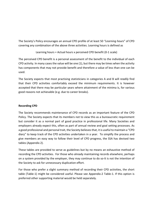The Society's Policy encourages an annual CPD profile of at least 50 *"Learning hours*" of CPD covering any combination of the above three activities. Learning hours is defined as

Learning hours = Actual hours x perceived CPD benefit (0-1 scale)

The perceived CPD benefit is a personal assessment of the benefit to the individual of each CPD activity. In many cases the value will be one (1), but there may be times when the activity has components that may not provide benefit and therefore a value of less than one can be used.

The Society expects that most practising statisticians in categories A and B will *readily* find that their CPD activities comfortably exceed the minimum requirements. It is however accepted that there may be particular years where attainment of the minima is, for various good reasons not achievable (e.g. due to career breaks).

# **Recording CPD**

The Society recommends maintenance of CPD records as an important feature of the CPD Policy. The Society expects that its members not to view this as a bureaucratic requirement but consider it as a normal part of good practice in professional life. Many Societies and employers already expect this, often as part of annual review and goal setting processes. As a good professional and personal trait, the Society believes that, it is useful to maintain a "CPD diary" to keep track of the CPD activities undertaken in a year. To simplify the process and give members an easy way to follow their level of CPD progress, the SSA has devised two tables (Appendix 2).

These tables are provided to serve as guidelines but by no means an exhaustive method of recording the CPD activities. For those who already maintaining records elsewhere, perhaps on a system provided by the employer, they may continue to do so-It is not the intention of the Society to ask for unnecessary duplication effort.

For those who prefer a slight summary method of recording their CPD activities, the short table (Table-1) might be considered useful. Please see Appendix-2 Table-1. If this option is preferred other supporting material would be held separately.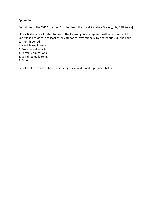# Appendix-1

Definitions of the CPD Activities [Adapted from the Royal Statistical Society, UK, CPD Policy]

CPD activities are allocated to one of the following five categories, with a requirement to undertake activities in at least three categories (exceptionally two categories) during each 12-month period.

- 1. Work based learning
- 2. Professional activity
- 3. Formal / educational
- 4. Self-directed learning
- 5. Other

Detailed elaboration of how these categories are defined is provided below: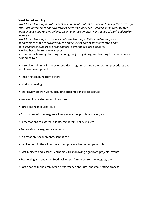#### **Work based learning**

*Work based learning is professional development that takes place by fulfilling the current job role. Such development naturally takes place as experience is gained in the role, greater independence and responsibility is given, and the complexity and scope of work undertaken increases.* 

*Work based learning also includes in-house learning activities and development opportunities that are provided by the employer as part of staff orientation and development in support of organisational performance and objectives.*  Worked based learning – examples:

• Experiential learning: learning by doing the job – gaining, and learning from, experience – expanding role

• In-service training – includes orientation programs, standard operating procedures and employee development

- Receiving coaching from others
- Work shadowing
- Peer review of own work, including presentations to colleagues
- Review of case studies and literature
- Participating in journal club
- Discussions with colleagues idea generation, problem solving, etc
- Presentations to external clients, regulators, policy makers
- Supervising colleagues or students
- Job rotation, secondments, sabbaticals
- Involvement in the wider work of employer beyond scope of role
- Post-mortem and lessons-learnt activities following significant projects, events
- Requesting and analysing feedback on performance from colleagues, clients
- Participating in the employer's performance appraisal and goal setting process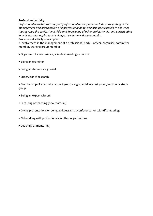### **Professional activity**

*Professional activities that support professional development include participating in the management and organisation of a professional body; and also participating in activities that develop the professional skills and knowledge of other professionals, and participating in activities that apply statistical expertise in the wider community.*  Professional activity – examples:

• Involvement in the management of a professional body – officer, organiser, committee member, working group member

- Organiser of a conference, scientific meeting or course
- Being an examiner
- Being a referee for a journal
- Supervisor of research
- Membership of a technical expert group e.g. special interest group, section or study group
- Being an expert witness
- Lecturing or teaching (new material)
- Giving presentations or being a discussant at conferences or scientific meetings
- Networking with professionals in other organisations
- Coaching or mentoring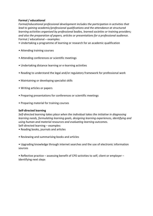# **Formal / educational**

*Formal/educational professional development includes the participation in activities that lead to gaining academic/professional qualifications and the attendance at structured learning activities organised by professional bodies, learned societies or training providers; and also the preparation of papers, articles or presentations for a professional audience.*  Formal / educational – examples:

- Undertaking a programme of learning or research for an academic qualification
- Attending training courses
- Attending conferences or scientific meetings
- Undertaking distance learning or e-learning activities
- Reading to understand the legal and/or regulatory framework for professional work
- Maintaining or developing specialist skills
- Writing articles or papers
- Preparing presentations for conferences or scientific meetings
- Preparing material for training courses

## **Self-directed learning**

*Self-directed learning takes place when the individual takes the initiative in diagnosing learning needs, formulating learning goals, designing learning experiences, identifying and using human and material resources and evaluating learning outcomes.*  Self-directed learning – examples:

- Reading books, journals and articles
- Reviewing and summarising books and articles

• Upgrading knowledge through internet searches and the use of electronic information sources

• Reflective practice – assessing benefit of CPD activities to self, client or employer – identifying next steps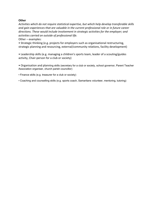# **Other**

*Activities which do not require statistical expertise, but which help develop transferable skills and gain experiences that are valuable in the current professional role or in future career directions. These would include involvement in strategic activities for the employer; and activities carried on outside of professional life.* 

Other – examples:

• Strategic thinking (e.g. projects for employers such as organisational restructuring, strategic planning and resourcing, external/community relations, facility development)

• Leadership skills (e.g. managing a children's sports team, leader of a scouting/guides activity, Chair-person for a club or society)

• Organisation and planning skills (secretary for a club or society, school governor, Parent Teacher Association organiser, church parish councillor)

• Finance skills (e.g. treasurer for a club or society)

• Coaching and counselling skills (e.g. sports coach, Samaritans volunteer, mentoring, tutoring)